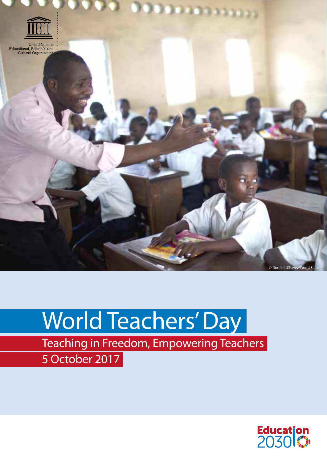

# World Teachers' Day

Teaching in Freedom, Empowering Teachers 5 October 2017

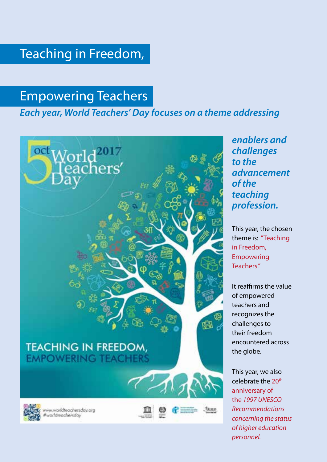# Teaching in Freedom,

# Empowering Teachers

### *Each year, World Teachers' Day focuses on a theme addressing*



*enablers and challenges to the advancement of the teaching profession.* 

This year, the chosen theme is: "Teaching in Freedom, Empowering Teachers."

It reaffirms the value of empowered teachers and recognizes the challenges to their freedom encountered across the globe.

This year, we also celebrate the 20<sup>th</sup> anniversary of the *1997 UNESCO Recommendations concerning the status of higher education personnel.*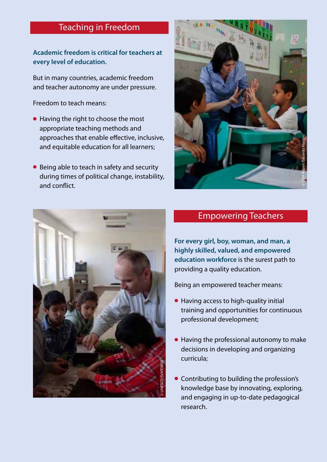### Teaching in Freedom

**Academic freedom is critical for teachers at every level of education.**

But in many countries, academic freedom and teacher autonomy are under pressure.

Freedom to teach means:

- Having the right to choose the most appropriate teaching methods and approaches that enable effective, inclusive, and equitable education for all learners;
- Being able to teach in safety and security during times of political change, instability, and conflict.





### Empowering Teachers

**For every girl, boy, woman, and man, a highly skilled, valued, and empowered education workforce** is the surest path to providing a quality education.

Being an empowered teacher means:

- Having access to high-quality initial training and opportunities for continuous professional development;
- Having the professional autonomy to make decisions in developing and organizing curricula;
- Contributing to building the profession's knowledge base by innovating, exploring, and engaging in up-to-date pedagogical research.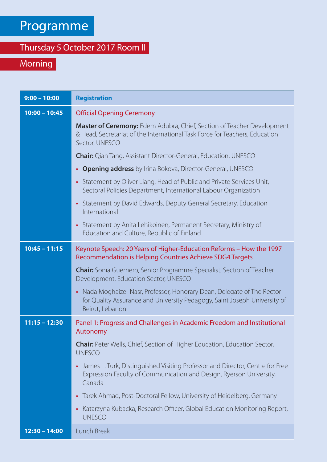# Programme

### Thursday 5 October 2017 Room II

## Morning

| $9:00 - 10:00$  | <b>Registration</b>                                                                                                                                                                |
|-----------------|------------------------------------------------------------------------------------------------------------------------------------------------------------------------------------|
| $10:00 - 10:45$ | <b>Official Opening Ceremony</b>                                                                                                                                                   |
|                 | Master of Ceremony: Edem Adubra, Chief, Section of Teacher Development<br>& Head, Secretariat of the International Task Force for Teachers, Education<br>Sector, UNESCO            |
|                 | <b>Chair:</b> Qian Tang, Assistant Director-General, Education, UNESCO                                                                                                             |
|                 | <b>Opening address</b> by Irina Bokova, Director-General, UNESCO<br>$\bullet$                                                                                                      |
|                 | Statement by Oliver Liang, Head of Public and Private Services Unit,<br>$\bullet$<br>Sectoral Policies Department, International Labour Organization                               |
|                 | • Statement by David Edwards, Deputy General Secretary, Education<br>International                                                                                                 |
|                 | • Statement by Anita Lehikoinen, Permanent Secretary, Ministry of<br>Education and Culture, Republic of Finland                                                                    |
| $10:45 - 11:15$ | Keynote Speech: 20 Years of Higher-Education Reforms - How the 1997<br>Recommendation is Helping Countries Achieve SDG4 Targets                                                    |
|                 | Chair: Sonia Guerriero, Senior Programme Specialist, Section of Teacher<br>Development, Education Sector, UNESCO                                                                   |
|                 | Nada Moghaizel-Nasr, Professor, Honorary Dean, Delegate of The Rector<br>$\bullet$<br>for Quality Assurance and University Pedagogy, Saint Joseph University of<br>Beirut, Lebanon |
| $11:15 - 12:30$ | Panel 1: Progress and Challenges in Academic Freedom and Institutional<br>Autonomy                                                                                                 |
|                 | Chair: Peter Wells, Chief, Section of Higher Education, Education Sector,<br><b>UNESCO</b>                                                                                         |
|                 | James L. Turk, Distinguished Visiting Professor and Director, Centre for Free<br>$\bullet$<br>Expression Faculty of Communication and Design, Ryerson University,<br>Canada        |
|                 | Tarek Ahmad, Post-Doctoral Fellow, University of Heidelberg, Germany<br>$\bullet$                                                                                                  |
|                 | Katarzyna Kubacka, Research Officer, Global Education Monitoring Report,<br>$\bullet$<br><b>UNESCO</b>                                                                             |
| $12:30 - 14:00$ | Lunch Break                                                                                                                                                                        |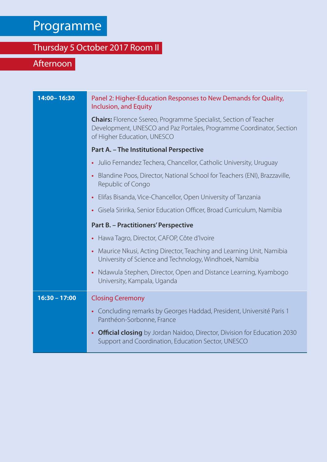# Programme

# Thursday 5 October 2017 Room II

## Afternoon

| 14:00-16:30     | Panel 2: Higher-Education Responses to New Demands for Quality,<br>Inclusion, and Equity                                                                                        |
|-----------------|---------------------------------------------------------------------------------------------------------------------------------------------------------------------------------|
|                 | <b>Chairs:</b> Florence Ssereo, Programme Specialist, Section of Teacher<br>Development, UNESCO and Paz Portales, Programme Coordinator, Section<br>of Higher Education, UNESCO |
|                 | Part A. - The Institutional Perspective                                                                                                                                         |
|                 | • Julio Fernandez Techera, Chancellor, Catholic University, Uruguay                                                                                                             |
|                 | • Blandine Poos, Director, National School for Teachers (ENI), Brazzaville,<br>Republic of Congo                                                                                |
|                 | Elifas Bisanda, Vice-Chancellor, Open University of Tanzania<br>$\bullet$                                                                                                       |
|                 | • Gisela Siririka, Senior Education Officer, Broad Curriculum, Namibia                                                                                                          |
|                 | Part B. - Practitioners' Perspective                                                                                                                                            |
|                 | • Hawa Tagro, Director, CAFOP, Côte d'Ivoire                                                                                                                                    |
|                 | • Maurice Nkusi, Acting Director, Teaching and Learning Unit, Namibia<br>University of Science and Technology, Windhoek, Namibia                                                |
|                 | • Ndawula Stephen, Director, Open and Distance Learning, Kyambogo<br>University, Kampala, Uganda                                                                                |
| $16:30 - 17:00$ | <b>Closing Ceremony</b>                                                                                                                                                         |
|                 | • Concluding remarks by Georges Haddad, President, Université Paris 1<br>Panthéon-Sorbonne, France                                                                              |
|                 | • Official closing by Jordan Naidoo, Director, Division for Education 2030<br>Support and Coordination, Education Sector, UNESCO                                                |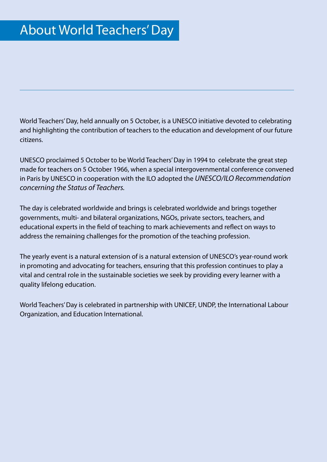World Teachers' Day, held annually on 5 October, is a UNESCO initiative devoted to celebrating and highlighting the contribution of teachers to the education and development of our future citizens.

UNESCO proclaimed 5 October to be World Teachers' Day in 1994 to celebrate the great step made for teachers on 5 October 1966, when a special intergovernmental conference convened in Paris by UNESCO in cooperation with the ILO adopted the *UNESCO/ILO Recommendation concerning the Status of Teachers.*

The day is celebrated worldwide and brings is celebrated worldwide and brings together governments, multi- and bilateral organizations, NGOs, private sectors, teachers, and educational experts in the field of teaching to mark achievements and reflect on ways to address the remaining challenges for the promotion of the teaching profession.

The yearly event is a natural extension of is a natural extension of UNESCO's year-round work in promoting and advocating for teachers, ensuring that this profession continues to play a vital and central role in the sustainable societies we seek by providing every learner with a quality lifelong education.

World Teachers' Day is celebrated in partnership with UNICEF, UNDP, the International Labour Organization, and Education International.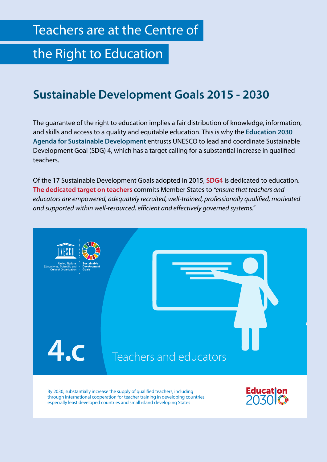# the Right to Education

### **Sustainable Development Goals 2015 - 2030**

The guarantee of the right to education implies a fair distribution of knowledge, information, and skills and access to a quality and equitable education. This is why the **Education 2030 Agenda for Sustainable Development** entrusts UNESCO to lead and coordinate Sustainable Development Goal (SDG) 4, which has a target calling for a substantial increase in qualified teachers.

Of the 17 Sustainable Development Goals adopted in 2015, **SDG4** is dedicated to education. **The dedicated target on teachers** commits Member States to *"ensure that teachers and educators are empowered, adequately recruited, well-trained, professionally qualified, motivated and supported within well-resourced, efficient and effectively governed systems."*